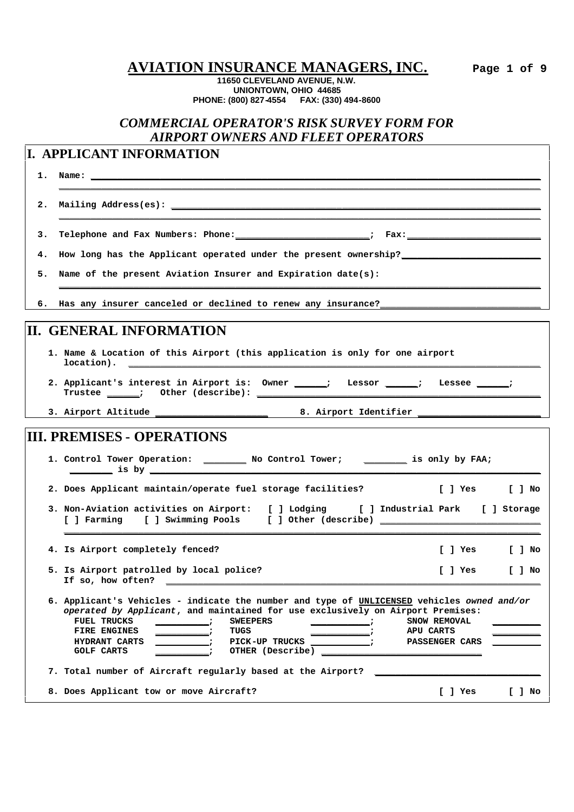**AVIATION INSURANCE MANAGERS, INC. Page 1 of 9**

**11650 CLEVELAND AVENUE, N.W. UNIONTOWN, OHIO 44685 PHONE: (800) 827-4554 FAX: (330) 494-8600**

## *COMMERCIAL OPERATOR'S RISK SURVEY FORM FOR AIRPORT OWNERS AND FLEET OPERATORS*

**\_\_\_\_\_\_\_\_\_\_\_\_\_\_\_\_\_\_\_\_\_\_\_\_\_\_\_\_\_\_\_\_\_\_\_\_\_\_\_\_\_\_\_\_\_\_\_\_\_\_\_\_\_\_\_\_\_\_\_\_\_\_\_\_\_\_\_\_\_\_\_\_\_\_\_\_\_\_\_\_\_\_\_\_\_\_\_\_\_\_**

**\_\_\_\_\_\_\_\_\_\_\_\_\_\_\_\_\_\_\_\_\_\_\_\_\_\_\_\_\_\_\_\_\_\_\_\_\_\_\_\_\_\_\_\_\_\_\_\_\_\_\_\_\_\_\_\_\_\_\_\_\_\_\_\_\_\_\_\_\_\_\_\_\_\_\_\_\_\_\_\_\_\_\_\_\_\_\_\_\_\_**

**\_\_\_\_\_\_\_\_\_\_\_\_\_\_\_\_\_\_\_\_\_\_\_\_\_\_\_\_\_\_\_\_\_\_\_\_\_\_\_\_\_\_\_\_\_\_\_\_\_\_\_\_\_\_\_\_\_\_\_\_\_\_\_\_\_\_\_\_\_\_\_\_\_\_\_\_\_\_\_\_\_\_\_\_\_\_\_\_\_\_**

## **I. APPLICANT INFORMATION**

**1. Name: \_\_\_\_\_\_\_\_\_\_\_\_\_\_\_\_\_\_\_\_\_\_\_\_\_\_\_\_\_\_\_\_\_\_\_\_\_\_\_\_\_\_\_\_\_\_\_\_\_\_\_\_\_\_\_\_\_\_\_\_\_\_\_\_\_\_\_\_\_\_\_\_\_\_\_\_\_\_\_\_\_\_\_\_**

2. Mailing Address(es): \_

3. Telephone and Fax Numbers: Phone: \_\_\_\_\_\_\_\_\_\_\_\_\_\_\_\_\_\_\_\_\_\_\_\_\_\_\_\_\_; Fax: \_\_\_\_\_\_\_\_

**4. How long has the Applicant operated under the present ownership?\_\_\_\_\_\_\_\_\_\_\_\_\_\_\_\_\_\_\_\_\_\_\_\_\_\_**

**5. Name of the present Aviation Insurer and Expiration date(s):**

**6. Has any insurer canceled or declined to renew any insurance?\_\_\_\_\_\_\_\_\_\_\_\_\_\_\_\_\_\_\_\_\_\_\_\_\_\_\_\_\_\_**

## **II. GENERAL INFORMATION**

- **1. Name & Location of this Airport (this application is only for one airport location). \_\_\_\_\_\_\_\_\_\_\_\_\_\_\_\_\_\_\_\_\_\_\_\_\_\_\_\_\_\_\_\_\_\_\_\_\_\_\_\_\_\_\_\_\_\_\_\_\_\_\_\_\_\_\_\_\_\_\_\_\_\_\_\_\_\_\_\_\_\_\_\_\_\_\_\_\_**
- **2. Applicant's interest in Airport is: Owner \_\_\_\_\_\_; Lessor \_\_\_\_\_\_; Lessee \_\_\_\_\_\_; Trustee \_\_\_\_\_\_; Other (describe): \_\_\_\_\_\_\_\_\_\_\_\_\_\_\_\_\_\_\_\_\_\_\_\_\_\_\_\_\_\_\_\_\_\_\_\_\_\_\_\_\_\_\_\_\_\_\_\_\_\_\_\_\_**

**3. Airport Altitude \_\_\_\_\_\_\_\_\_\_\_\_\_\_\_\_\_\_\_\_\_ 8. Airport Identifier \_\_\_\_\_\_\_\_\_\_\_\_\_\_\_\_\_\_\_\_\_\_\_**

## **III. PREMISES - OPERATIONS**

| 1. Control Tower Operation: | No Control Tower; | is only by FAA; |
|-----------------------------|-------------------|-----------------|
| is by                       |                   |                 |
|                             |                   |                 |

**2. Does Applicant maintain/operate fuel storage facilities? [ ] Yes [ ] No**

**3. Non-Aviation activities on Airport: [ ] Lodging [ ] Industrial Park [ ] Storage [ ] Farming [ ] Swimming Pools [ ] Other (describe) \_\_\_\_\_\_\_\_\_\_\_\_\_\_\_\_\_\_\_\_\_\_\_\_\_\_\_\_\_\_**

**\_\_\_\_\_\_\_\_\_\_\_\_\_\_\_\_\_\_\_\_\_\_\_\_\_\_\_\_\_\_\_\_\_\_\_\_\_\_\_\_\_\_\_\_\_\_\_\_\_\_\_\_\_\_\_\_\_\_\_\_\_\_\_\_\_\_\_\_\_\_\_\_\_\_\_\_\_\_\_\_\_\_\_\_\_\_\_\_\_**

**4. Is Airport completely fenced? [ ] Yes [ ] No 5. Is Airport patrolled by local police? [ ] Yes [ ] No** If so, how often?

**6. Applicant's Vehicles - indicate the number and type of UNLICENSED vehicles** *owned and/or operated by Applicant***, and maintained for use exclusively on Airport Premises: FUEL TRUCKS \_\_\_\_\_\_\_\_\_\_; SWEEPERS \_\_\_\_\_\_\_\_\_\_\_; SNOW REMOVAL \_\_\_\_\_\_\_\_\_ FIRE ENGINES and i TUGS** *z z z z* **HYDRANT CARTS \_\_\_\_\_\_\_\_\_\_; PICK-UP TRUCKS \_\_\_\_\_\_\_\_\_\_\_; PASSENGER CARS \_\_\_\_\_\_\_\_\_**  $OTHER$  (Describe) **7. Total number of Aircraft regularly based at the Airport? \_\_\_\_\_\_\_\_\_\_\_\_\_\_\_\_\_\_\_\_\_\_\_\_\_\_\_\_\_\_\_ 8. Does Applicant tow or move Aircraft? [ ] Yes [ ] No**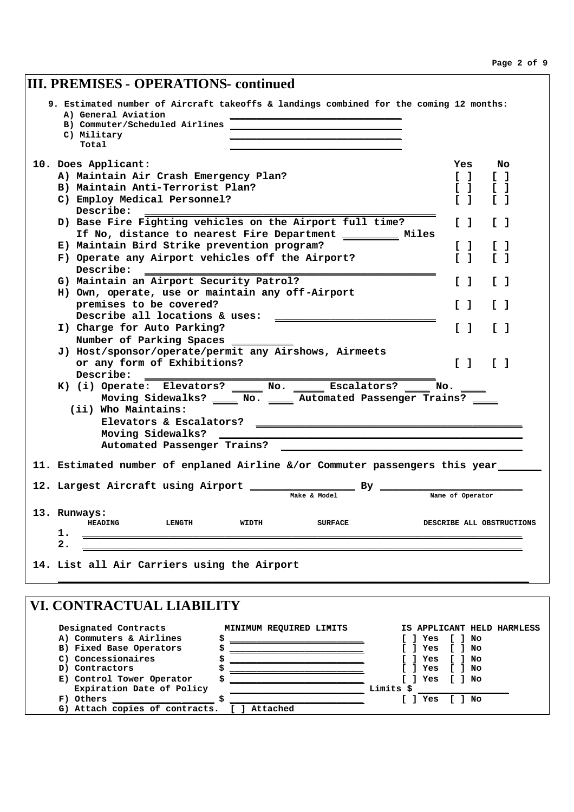| <b>III. PREMISES - OPERATIONS- continued</b>                                                                                                                              |                                                                        |
|---------------------------------------------------------------------------------------------------------------------------------------------------------------------------|------------------------------------------------------------------------|
| 9. Estimated number of Aircraft takeoffs & landings combined for the coming 12 months:<br>A) General Aviation<br>B) Commuter/Scheduled Airlines _<br>C) Military<br>Total |                                                                        |
| 10. Does Applicant:                                                                                                                                                       | Yes<br>No                                                              |
| A) Maintain Air Crash Emergency Plan?                                                                                                                                     | F 1.<br>$\begin{bmatrix} 1 \end{bmatrix}$                              |
| B) Maintain Anti-Terrorist Plan?                                                                                                                                          | $\begin{bmatrix} 1 \end{bmatrix}$<br>$\begin{bmatrix} 1 \end{bmatrix}$ |
| C) Employ Medical Personnel?                                                                                                                                              | $\sqrt{1}$<br>$\sqrt{1}$                                               |
| Describe:                                                                                                                                                                 |                                                                        |
| D) Base Fire Fighting vehicles on the Airport full time?                                                                                                                  | I 1<br>$\sqrt{1}$                                                      |
| If No, distance to nearest Fire Department __________ Miles                                                                                                               |                                                                        |
| E) Maintain Bird Strike prevention program?                                                                                                                               | L.<br>F 1                                                              |
| F) Operate any Airport vehicles off the Airport?                                                                                                                          | $\mathsf{L}$<br>T 1                                                    |
| Describe:                                                                                                                                                                 |                                                                        |
| G) Maintain an Airport Security Patrol?                                                                                                                                   | $\begin{bmatrix} 1 \end{bmatrix}$<br>$\mathbf{L}$ 1                    |
| H) Own, operate, use or maintain any off-Airport                                                                                                                          |                                                                        |
| premises to be covered?                                                                                                                                                   | $\sqrt{1}$<br>$\sqrt{1}$                                               |
| Describe all locations & uses:                                                                                                                                            |                                                                        |
| I) Charge for Auto Parking?                                                                                                                                               | $\begin{bmatrix} 1 \end{bmatrix}$<br>$\sqrt{1}$                        |
| Number of Parking Spaces                                                                                                                                                  |                                                                        |
| J) Host/sponsor/operate/permit any Airshows, Airmeets                                                                                                                     |                                                                        |
| or any form of Exhibitions?                                                                                                                                               | $\begin{bmatrix} 1 \end{bmatrix}$<br>$\begin{bmatrix} 1 \end{bmatrix}$ |
| Describe:                                                                                                                                                                 |                                                                        |
| K) (i) Operate: Elevators? _____ No. _____ Escalators? ____ No. ____                                                                                                      |                                                                        |
| Moving Sidewalks? ______ No. ______ Automated Passenger Trains? _____                                                                                                     |                                                                        |
| (ii) Who Maintains:                                                                                                                                                       |                                                                        |
| Elevators & Escalators?<br><u> 2000 - Jan James James Jan James James James James James James James James James James James James James Jam</u>                           |                                                                        |
| Moving Sidewalks?                                                                                                                                                         |                                                                        |
| Automated Passenger Trains?                                                                                                                                               |                                                                        |
| 11. Estimated number of enplaned Airline &/or Commuter passengers this year____                                                                                           |                                                                        |
|                                                                                                                                                                           |                                                                        |
| 12. Largest Aircraft using Airport<br>Bу                                                                                                                                  |                                                                        |
| Make & Model                                                                                                                                                              | Name of Operator                                                       |
| 13. Runways:                                                                                                                                                              |                                                                        |
| <b>HEADING</b><br><b>LENGTH</b><br>WIDTH<br><b>SURFACE</b>                                                                                                                | DESCRIBE ALL OBSTRUCTIONS                                              |
| 1.                                                                                                                                                                        |                                                                        |
| 2.                                                                                                                                                                        |                                                                        |
| 14. List all Air Carriers using the Airport                                                                                                                               |                                                                        |
|                                                                                                                                                                           |                                                                        |
|                                                                                                                                                                           |                                                                        |

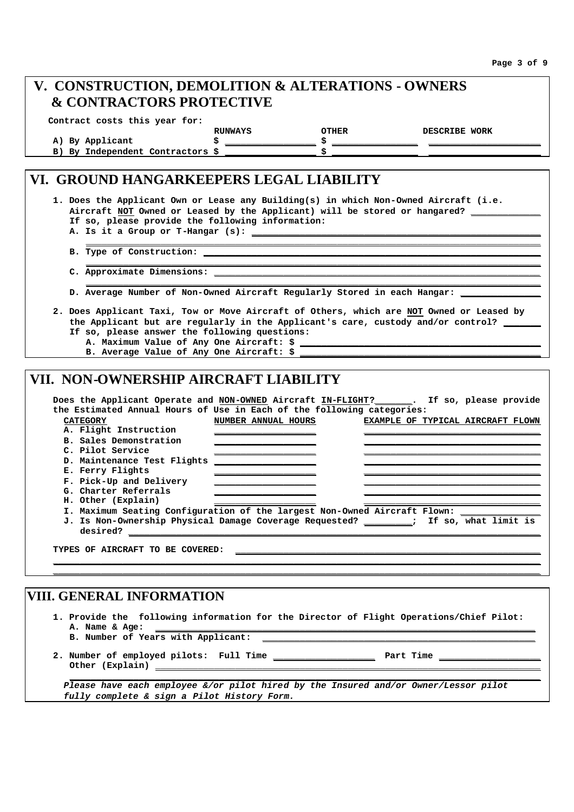| V. CONSTRUCTION, DEMOLITION & ALTERATIONS - OWNERS                                                                                                                   |                     |                                                                                                                      |                                   |
|----------------------------------------------------------------------------------------------------------------------------------------------------------------------|---------------------|----------------------------------------------------------------------------------------------------------------------|-----------------------------------|
| <b>&amp; CONTRACTORS PROTECTIVE</b>                                                                                                                                  |                     |                                                                                                                      |                                   |
| Contract costs this year for:                                                                                                                                        |                     |                                                                                                                      |                                   |
|                                                                                                                                                                      | RUNWAYS             | <b>OTHER</b>                                                                                                         | <b>DESCRIBE WORK</b>              |
| A) By Applicant                                                                                                                                                      |                     |                                                                                                                      |                                   |
| B) By Independent Contractors \$                                                                                                                                     |                     |                                                                                                                      |                                   |
| VI. GROUND HANGARKEEPERS LEGAL LIABILITY                                                                                                                             |                     |                                                                                                                      |                                   |
| 1. Does the Applicant Own or Lease any Building(s) in which Non-Owned Aircraft (i.e.                                                                                 |                     |                                                                                                                      |                                   |
| Aircraft NOT Owned or Leased by the Applicant) will be stored or hangared? _______                                                                                   |                     |                                                                                                                      |                                   |
| If so, please provide the following information:                                                                                                                     |                     |                                                                                                                      |                                   |
|                                                                                                                                                                      |                     |                                                                                                                      |                                   |
|                                                                                                                                                                      |                     |                                                                                                                      |                                   |
|                                                                                                                                                                      |                     |                                                                                                                      |                                   |
|                                                                                                                                                                      |                     |                                                                                                                      |                                   |
|                                                                                                                                                                      |                     |                                                                                                                      |                                   |
| D. Average Number of Non-Owned Aircraft Regularly Stored in each Hangar: ______                                                                                      |                     |                                                                                                                      |                                   |
| If so, please answer the following questions:<br>B. Average Value of Any One Aircraft: \$                                                                            |                     |                                                                                                                      |                                   |
| VII. NON-OWNERSHIP AIRCRAFT LIABILITY                                                                                                                                |                     |                                                                                                                      |                                   |
| Does the Applicant Operate and NON-OWNED Aircraft IN-FLIGHT? ______. If so, please provide<br>the Estimated Annual Hours of Use in Each of the following categories: |                     |                                                                                                                      |                                   |
| <b>CATEGORY</b>                                                                                                                                                      | NUMBER ANNUAL HOURS |                                                                                                                      | EXAMPLE OF TYPICAL AIRCRAFT FLOWN |
| A. Flight Instruction                                                                                                                                                |                     |                                                                                                                      |                                   |
| <b>B. Sales Demonstration</b>                                                                                                                                        |                     |                                                                                                                      |                                   |
| C. Pilot Service<br>D. Maintenance Test Flights                                                                                                                      |                     |                                                                                                                      |                                   |
| E. Ferry Flights                                                                                                                                                     |                     |                                                                                                                      |                                   |
| F. Pick-Up and Delivery                                                                                                                                              |                     |                                                                                                                      |                                   |
| G. Charter Referrals                                                                                                                                                 |                     |                                                                                                                      |                                   |
| H. Other (Explain)                                                                                                                                                   |                     |                                                                                                                      |                                   |
|                                                                                                                                                                      |                     |                                                                                                                      |                                   |
| I. Maximum Seating Configuration of the largest Non-Owned Aircraft Flown:                                                                                            |                     |                                                                                                                      |                                   |
| J. Is Non-Ownership Physical Damage Coverage Requested? ________;                                                                                                    |                     |                                                                                                                      | If so, what limit is              |
| desired?                                                                                                                                                             |                     |                                                                                                                      |                                   |
| TYPES OF AIRCRAFT TO BE COVERED:                                                                                                                                     |                     | <u> 1980 - Johann John Harry, margaret amerikan bizko bat da bat da bat da bat da bat da bat da bat da bat da ba</u> |                                   |
|                                                                                                                                                                      |                     |                                                                                                                      |                                   |
|                                                                                                                                                                      |                     |                                                                                                                      |                                   |

- **1. Provide the following information for the Director of Flight Operations/Chief Pilot: A. Name & Age: \_\_\_\_\_\_\_\_\_\_\_\_\_\_\_\_\_\_\_\_\_\_\_\_\_\_\_\_\_\_\_\_\_\_\_\_\_\_\_\_\_\_\_\_\_\_\_\_\_\_\_\_\_\_\_\_\_\_\_\_\_\_\_\_\_\_\_\_\_\_\_ B. Number of Years with Applicant: \_\_\_\_\_\_\_\_\_\_\_\_\_\_\_\_\_\_\_\_\_\_\_\_\_\_\_\_\_\_\_\_\_\_\_\_\_\_\_\_\_\_\_\_\_\_\_\_\_\_\_**
- **2. Number of employed pilots: Full Time \_\_\_\_\_\_\_\_\_\_\_\_\_\_\_\_\_\_\_ Part Time \_\_\_\_\_\_\_\_\_\_\_\_\_\_\_\_\_\_\_** Other (Explain) \_\_

*Please have each employee &/or pilot hired by the Insured and/or Owner/Lessor pilot fully complete & sign a Pilot History Form.*

**\_\_\_\_\_\_\_\_\_\_\_\_\_\_\_\_\_\_\_\_\_\_\_\_\_\_\_\_\_\_\_\_\_\_\_\_\_\_\_\_\_\_\_\_\_\_\_\_\_\_\_\_\_\_\_\_\_\_\_\_\_\_\_\_\_\_\_\_\_\_\_\_\_\_\_\_\_\_\_\_\_\_\_\_\_\_\_\_**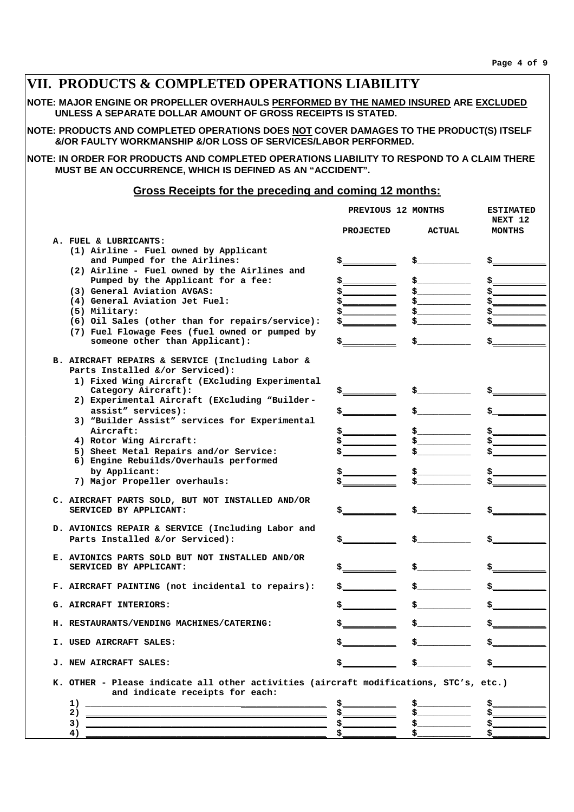| VII. PRODUCTS & COMPLETED OPERATIONS LIABILITY                                                                                                            |                                                                                                                            |                                                                                                                                                                                                                                                                                                                     |                                                                                                                                                                                                                                                                                                                                                                                                                                                             |
|-----------------------------------------------------------------------------------------------------------------------------------------------------------|----------------------------------------------------------------------------------------------------------------------------|---------------------------------------------------------------------------------------------------------------------------------------------------------------------------------------------------------------------------------------------------------------------------------------------------------------------|-------------------------------------------------------------------------------------------------------------------------------------------------------------------------------------------------------------------------------------------------------------------------------------------------------------------------------------------------------------------------------------------------------------------------------------------------------------|
| NOTE: MAJOR ENGINE OR PROPELLER OVERHAULS PERFORMED BY THE NAMED INSURED ARE EXCLUDED<br>UNLESS A SEPARATE DOLLAR AMOUNT OF GROSS RECEIPTS IS STATED.     |                                                                                                                            |                                                                                                                                                                                                                                                                                                                     |                                                                                                                                                                                                                                                                                                                                                                                                                                                             |
| NOTE: PRODUCTS AND COMPLETED OPERATIONS DOES NOT COVER DAMAGES TO THE PRODUCT(S) ITSELF<br>&/OR FAULTY WORKMANSHIP &/OR LOSS OF SERVICES/LABOR PERFORMED. |                                                                                                                            |                                                                                                                                                                                                                                                                                                                     |                                                                                                                                                                                                                                                                                                                                                                                                                                                             |
| NOTE: IN ORDER FOR PRODUCTS AND COMPLETED OPERATIONS LIABILITY TO RESPOND TO A CLAIM THERE<br>MUST BE AN OCCURRENCE, WHICH IS DEFINED AS AN "ACCIDENT".   |                                                                                                                            |                                                                                                                                                                                                                                                                                                                     |                                                                                                                                                                                                                                                                                                                                                                                                                                                             |
| Gross Receipts for the preceding and coming 12 months:                                                                                                    |                                                                                                                            |                                                                                                                                                                                                                                                                                                                     |                                                                                                                                                                                                                                                                                                                                                                                                                                                             |
|                                                                                                                                                           | PREVIOUS 12 MONTHS                                                                                                         |                                                                                                                                                                                                                                                                                                                     | <b>ESTIMATED</b>                                                                                                                                                                                                                                                                                                                                                                                                                                            |
|                                                                                                                                                           | <b>PROJECTED</b>                                                                                                           | <b>ACTUAL</b>                                                                                                                                                                                                                                                                                                       | NEXT <sub>12</sub><br>MONTHS                                                                                                                                                                                                                                                                                                                                                                                                                                |
| A. FUEL & LUBRICANTS:<br>(1) Airline - Fuel owned by Applicant                                                                                            |                                                                                                                            |                                                                                                                                                                                                                                                                                                                     |                                                                                                                                                                                                                                                                                                                                                                                                                                                             |
| and Pumped for the Airlines:                                                                                                                              | \$_                                                                                                                        | \$_                                                                                                                                                                                                                                                                                                                 |                                                                                                                                                                                                                                                                                                                                                                                                                                                             |
| (2) Airline - Fuel owned by the Airlines and<br>Pumped by the Applicant for a fee:                                                                        |                                                                                                                            | $\sim$                                                                                                                                                                                                                                                                                                              |                                                                                                                                                                                                                                                                                                                                                                                                                                                             |
| (3) General Aviation AVGAS:                                                                                                                               |                                                                                                                            | $\frac{1}{2}$                                                                                                                                                                                                                                                                                                       |                                                                                                                                                                                                                                                                                                                                                                                                                                                             |
| (4) General Aviation Jet Fuel:                                                                                                                            |                                                                                                                            |                                                                                                                                                                                                                                                                                                                     |                                                                                                                                                                                                                                                                                                                                                                                                                                                             |
| (5) Military:                                                                                                                                             |                                                                                                                            | \$                                                                                                                                                                                                                                                                                                                  |                                                                                                                                                                                                                                                                                                                                                                                                                                                             |
| (6) Oil Sales (other than for repairs/service):<br>(7) Fuel Flowage Fees (fuel owned or pumped by                                                         |                                                                                                                            | \$                                                                                                                                                                                                                                                                                                                  |                                                                                                                                                                                                                                                                                                                                                                                                                                                             |
| someone other than Applicant):                                                                                                                            |                                                                                                                            | $\mathsf{s}\_$                                                                                                                                                                                                                                                                                                      |                                                                                                                                                                                                                                                                                                                                                                                                                                                             |
| B. AIRCRAFT REPAIRS & SERVICE (Including Labor &<br>Parts Installed &/or Serviced):                                                                       |                                                                                                                            |                                                                                                                                                                                                                                                                                                                     |                                                                                                                                                                                                                                                                                                                                                                                                                                                             |
| 1) Fixed Wing Aircraft (EXcluding Experimental                                                                                                            |                                                                                                                            |                                                                                                                                                                                                                                                                                                                     |                                                                                                                                                                                                                                                                                                                                                                                                                                                             |
| Category Aircraft):                                                                                                                                       | \$                                                                                                                         | $\mathsf{s}$                                                                                                                                                                                                                                                                                                        |                                                                                                                                                                                                                                                                                                                                                                                                                                                             |
| 2) Experimental Aircraft (EXcluding "Builder-<br>assist" services):                                                                                       |                                                                                                                            |                                                                                                                                                                                                                                                                                                                     |                                                                                                                                                                                                                                                                                                                                                                                                                                                             |
| 3) "Builder Assist" services for Experimental                                                                                                             |                                                                                                                            |                                                                                                                                                                                                                                                                                                                     |                                                                                                                                                                                                                                                                                                                                                                                                                                                             |
| Aircraft:                                                                                                                                                 |                                                                                                                            | $\frac{1}{2}$                                                                                                                                                                                                                                                                                                       |                                                                                                                                                                                                                                                                                                                                                                                                                                                             |
| 4) Rotor Wing Aircraft:                                                                                                                                   |                                                                                                                            | $\frac{1}{2}$                                                                                                                                                                                                                                                                                                       |                                                                                                                                                                                                                                                                                                                                                                                                                                                             |
| 5) Sheet Metal Repairs and/or Service:<br>6) Engine Rebuilds/Overhauls performed                                                                          |                                                                                                                            |                                                                                                                                                                                                                                                                                                                     |                                                                                                                                                                                                                                                                                                                                                                                                                                                             |
| by Applicant:<br>7) Major Propeller overhauls:                                                                                                            |                                                                                                                            | $\frac{1}{2}$                                                                                                                                                                                                                                                                                                       |                                                                                                                                                                                                                                                                                                                                                                                                                                                             |
|                                                                                                                                                           |                                                                                                                            |                                                                                                                                                                                                                                                                                                                     |                                                                                                                                                                                                                                                                                                                                                                                                                                                             |
| C. AIRCRAFT PARTS SOLD, BUT NOT INSTALLED AND/OR<br>SERVICED BY APPLICANT:                                                                                |                                                                                                                            | \$_                                                                                                                                                                                                                                                                                                                 |                                                                                                                                                                                                                                                                                                                                                                                                                                                             |
| D. AVIONICS REPAIR & SERVICE (Including Labor and                                                                                                         |                                                                                                                            |                                                                                                                                                                                                                                                                                                                     |                                                                                                                                                                                                                                                                                                                                                                                                                                                             |
| Parts Installed &/or Serviced):                                                                                                                           |                                                                                                                            | $\frac{1}{2}$ $\frac{1}{2}$ $\frac{1}{2}$ $\frac{1}{2}$ $\frac{1}{2}$ $\frac{1}{2}$ $\frac{1}{2}$ $\frac{1}{2}$ $\frac{1}{2}$ $\frac{1}{2}$ $\frac{1}{2}$ $\frac{1}{2}$ $\frac{1}{2}$ $\frac{1}{2}$ $\frac{1}{2}$ $\frac{1}{2}$ $\frac{1}{2}$ $\frac{1}{2}$ $\frac{1}{2}$ $\frac{1}{2}$ $\frac{1}{2}$ $\frac{1}{2}$ |                                                                                                                                                                                                                                                                                                                                                                                                                                                             |
| E. AVIONICS PARTS SOLD BUT NOT INSTALLED AND/OR<br>SERVICED BY APPLICANT:                                                                                 |                                                                                                                            |                                                                                                                                                                                                                                                                                                                     | $\frac{1}{2}$ $\frac{1}{2}$ $\frac{1}{2}$ $\frac{1}{2}$ $\frac{1}{2}$ $\frac{1}{2}$ $\frac{1}{2}$ $\frac{1}{2}$ $\frac{1}{2}$ $\frac{1}{2}$ $\frac{1}{2}$ $\frac{1}{2}$ $\frac{1}{2}$ $\frac{1}{2}$ $\frac{1}{2}$ $\frac{1}{2}$ $\frac{1}{2}$ $\frac{1}{2}$ $\frac{1}{2}$ $\frac{1}{2}$ $\frac{1}{2}$ $\frac{1}{2}$                                                                                                                                         |
| F. AIRCRAFT PAINTING (not incidental to repairs):                                                                                                         | $\mathbf{s}$ , where $\mathbf{s}$                                                                                          |                                                                                                                                                                                                                                                                                                                     | $\frac{1}{2}$                                                                                                                                                                                                                                                                                                                                                                                                                                               |
| G. AIRCRAFT INTERIORS:                                                                                                                                    | <u> 1989 - Jan James Barnett, politik e</u> ta idazlea (h. 1918).<br>1901 - Johann Barnett, politik eta idazlea (h. 1918). | $\sim$                                                                                                                                                                                                                                                                                                              | $\frac{1}{2}$                                                                                                                                                                                                                                                                                                                                                                                                                                               |
| H. RESTAURANTS/VENDING MACHINES/CATERING:                                                                                                                 |                                                                                                                            | $\mathsf{s}$ . The set of $\mathsf{s}$                                                                                                                                                                                                                                                                              | $\frac{1}{2}$                                                                                                                                                                                                                                                                                                                                                                                                                                               |
| I. USED AIRCRAFT SALES:                                                                                                                                   | $\mathbf{s}$ , where $\mathbf{s}$                                                                                          |                                                                                                                                                                                                                                                                                                                     | $\mathsf{s}$ $\mathsf{s}$ $\mathsf{s}$                                                                                                                                                                                                                                                                                                                                                                                                                      |
| <b>J. NEW AIRCRAFT SALES:</b>                                                                                                                             |                                                                                                                            | $\mathbf{s}$ , where $\mathbf{s}$                                                                                                                                                                                                                                                                                   | $\mathsf{s}\hspace{-.1cm}\_\hspace{-.1cm}\_\hspace{-.1cm}\_\hspace{-.1cm}\_\hspace{-.1cm}\_\hspace{-.1cm}\_\hspace{-.1cm}\_\hspace{-.1cm}\_\hspace{-.1cm}\_\hspace{-.1cm}\_\hspace{-.1cm}\_\hspace{-.1cm}\_\hspace{-.1cm}\_\hspace{-.1cm}\_\hspace{-.1cm}\_\hspace{-.1cm}\_\hspace{-.1cm}\_\hspace{-.1cm}\_\hspace{-.1cm}\_\hspace{-.1cm}\_\hspace{-.1cm}\_\hspace{-.1cm}\_\hspace{-.1cm}\_\hspace{-.1cm}\_\hspace{-.1cm}\_\hspace{-.1cm}\_\hspace{-.1cm}\$ |
| K. OTHER - Please indicate all other activities (aircraft modifications, STC's, etc.)<br>and indicate receipts for each:                                  |                                                                                                                            |                                                                                                                                                                                                                                                                                                                     |                                                                                                                                                                                                                                                                                                                                                                                                                                                             |
| 1)<br><u> Alexandro de la contrada de la contrada de la contrada de la contrada de la contrada de la contrada de la co</u><br>2)                          | $\frac{1}{2}$                                                                                                              | $\mathsf{s}\_\_\_\_\_\_\_\_$<br>$\mathsf{s}$ . The set of $\mathsf{s}$                                                                                                                                                                                                                                              | <u>នុ _ _ _ _ _ _</u>                                                                                                                                                                                                                                                                                                                                                                                                                                       |
| 3)                                                                                                                                                        |                                                                                                                            |                                                                                                                                                                                                                                                                                                                     | $\frac{1}{2}$                                                                                                                                                                                                                                                                                                                                                                                                                                               |
| 4)                                                                                                                                                        |                                                                                                                            |                                                                                                                                                                                                                                                                                                                     |                                                                                                                                                                                                                                                                                                                                                                                                                                                             |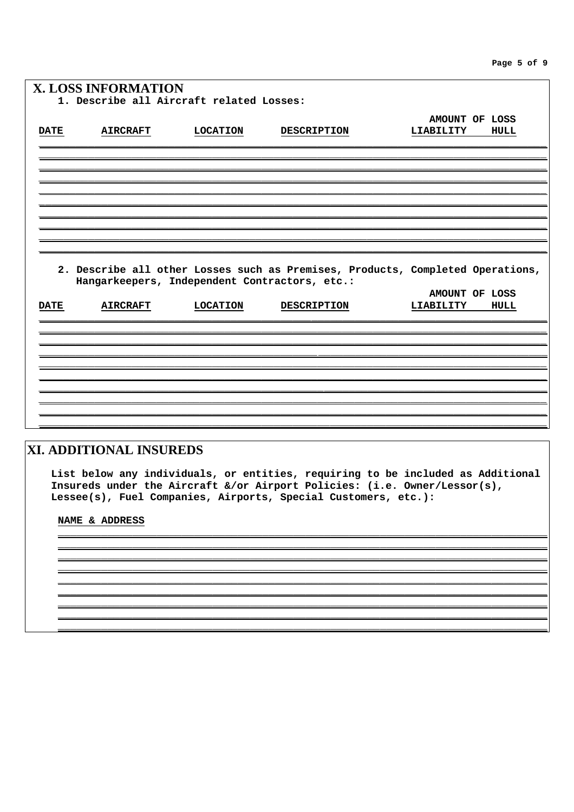Page 5 of 9

|             | <b>X. LOSS INFORMATION</b>                                                                                                                  |                 |                    |           |                |
|-------------|---------------------------------------------------------------------------------------------------------------------------------------------|-----------------|--------------------|-----------|----------------|
|             | 1. Describe all Aircraft related Losses:                                                                                                    |                 |                    |           |                |
|             |                                                                                                                                             |                 |                    |           |                |
|             |                                                                                                                                             |                 |                    |           | AMOUNT OF LOSS |
| <b>DATE</b> | <b>AIRCRAFT</b>                                                                                                                             | <b>LOCATION</b> | <b>DESCRIPTION</b> | LIABILITY | HULL           |
|             |                                                                                                                                             |                 |                    |           |                |
|             |                                                                                                                                             |                 |                    |           |                |
|             |                                                                                                                                             |                 |                    |           |                |
|             |                                                                                                                                             |                 |                    |           |                |
|             |                                                                                                                                             |                 |                    |           |                |
|             |                                                                                                                                             |                 |                    |           |                |
|             |                                                                                                                                             |                 |                    |           |                |
|             |                                                                                                                                             |                 |                    |           |                |
|             |                                                                                                                                             |                 |                    |           |                |
|             | 2. Describe all other Losses such as Premises, Products, Completed Operations,                                                              |                 |                    |           |                |
|             | Hangarkeepers, Independent Contractors, etc.:                                                                                               |                 |                    |           |                |
|             |                                                                                                                                             |                 |                    |           | AMOUNT OF LOSS |
| <b>DATE</b> | <b>AIRCRAFT</b>                                                                                                                             | <b>LOCATION</b> | <b>DESCRIPTION</b> | LIABILITY | HULL           |
|             |                                                                                                                                             |                 |                    |           |                |
|             |                                                                                                                                             |                 |                    |           |                |
|             |                                                                                                                                             |                 |                    |           |                |
|             |                                                                                                                                             |                 |                    |           |                |
|             |                                                                                                                                             |                 |                    |           |                |
|             |                                                                                                                                             |                 |                    |           |                |
|             |                                                                                                                                             |                 |                    |           |                |
|             |                                                                                                                                             |                 |                    |           |                |
|             |                                                                                                                                             |                 |                    |           |                |
|             |                                                                                                                                             |                 |                    |           |                |
|             | XI. ADDITIONAL INSUREDS                                                                                                                     |                 |                    |           |                |
|             |                                                                                                                                             |                 |                    |           |                |
|             | List below any individuals, or entities, requiring to be included as Additional                                                             |                 |                    |           |                |
|             | Insureds under the Aircraft &/or Airport Policies: (i.e. Owner/Lessor(s),<br>Lessee(s), Fuel Companies, Airports, Special Customers, etc.): |                 |                    |           |                |
|             |                                                                                                                                             |                 |                    |           |                |
|             | NAME & ADDRESS                                                                                                                              |                 |                    |           |                |
|             |                                                                                                                                             |                 |                    |           |                |
|             |                                                                                                                                             |                 |                    |           |                |
|             |                                                                                                                                             |                 |                    |           |                |
|             |                                                                                                                                             |                 |                    |           |                |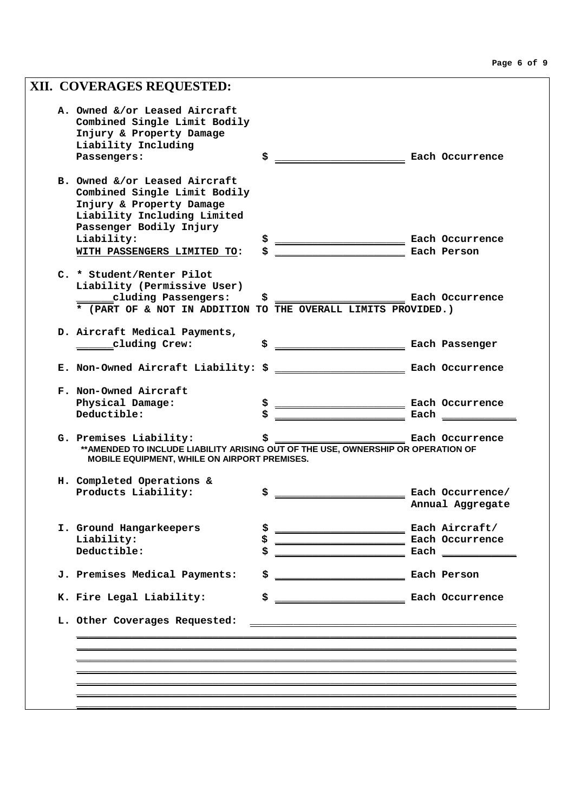| XII. COVERAGES REQUESTED:                                                                                                                                   |     |                                      |      |                  |
|-------------------------------------------------------------------------------------------------------------------------------------------------------------|-----|--------------------------------------|------|------------------|
| A. Owned &/or Leased Aircraft<br>Combined Single Limit Bodily<br>Injury & Property Damage<br>Liability Including                                            |     |                                      |      |                  |
| Passengers:                                                                                                                                                 | \$  |                                      |      | Each Occurrence  |
| B. Owned &/or Leased Aircraft<br>Combined Single Limit Bodily<br>Injury & Property Damage<br>Liability Including Limited<br>Passenger Bodily Injury         |     |                                      |      |                  |
| Liability:<br>WITH PASSENGERS LIMITED TO:                                                                                                                   | Ş   | Each Occurrence                      |      | Each Person      |
|                                                                                                                                                             |     |                                      |      |                  |
| C. * Student/Renter Pilot<br>Liability (Permissive User)                                                                                                    |     |                                      |      |                  |
| cluding Passengers:                                                                                                                                         | S.  |                                      |      | Each Occurrence  |
| * (PART OF & NOT IN ADDITION TO THE OVERALL LIMITS PROVIDED.)                                                                                               |     |                                      |      |                  |
| D. Aircraft Medical Payments,                                                                                                                               |     |                                      |      |                  |
| __cluding Crew:                                                                                                                                             | \$  | <b>Each Passenger</b> Each Passenger |      |                  |
|                                                                                                                                                             |     |                                      |      |                  |
|                                                                                                                                                             |     |                                      |      |                  |
| F. Non-Owned Aircraft                                                                                                                                       |     |                                      |      |                  |
| Physical Damage:                                                                                                                                            |     | Each Occurrence                      |      |                  |
| Deductible:                                                                                                                                                 |     |                                      | Each |                  |
| G. Premises Liability:<br>** AMENDED TO INCLUDE LIABILITY ARISING OUT OF THE USE, OWNERSHIP OR OPERATION OF<br>MOBILE EQUIPMENT, WHILE ON AIRPORT PREMISES. | \$. |                                      |      | Each Occurrence  |
| H. Completed Operations &                                                                                                                                   |     |                                      |      |                  |
| Products Liability:                                                                                                                                         | Ş   |                                      |      | Each Occurrence/ |
|                                                                                                                                                             |     |                                      |      | Annual Aggregate |
| I. Ground Hangarkeepers                                                                                                                                     | \$  | <b>Each Aircraft/</b>                |      |                  |
| Liability:                                                                                                                                                  |     | Each Occurrence                      |      |                  |
| Deductible:                                                                                                                                                 |     |                                      |      |                  |
| J. Premises Medical Payments:                                                                                                                               | \$  | Each Person Each Person              |      |                  |
| K. Fire Legal Liability:                                                                                                                                    | \$  | Each Occurrence                      |      |                  |
|                                                                                                                                                             |     |                                      |      |                  |
| L. Other Coverages Requested:                                                                                                                               |     |                                      |      |                  |
|                                                                                                                                                             |     |                                      |      |                  |
|                                                                                                                                                             |     |                                      |      |                  |
|                                                                                                                                                             |     |                                      |      |                  |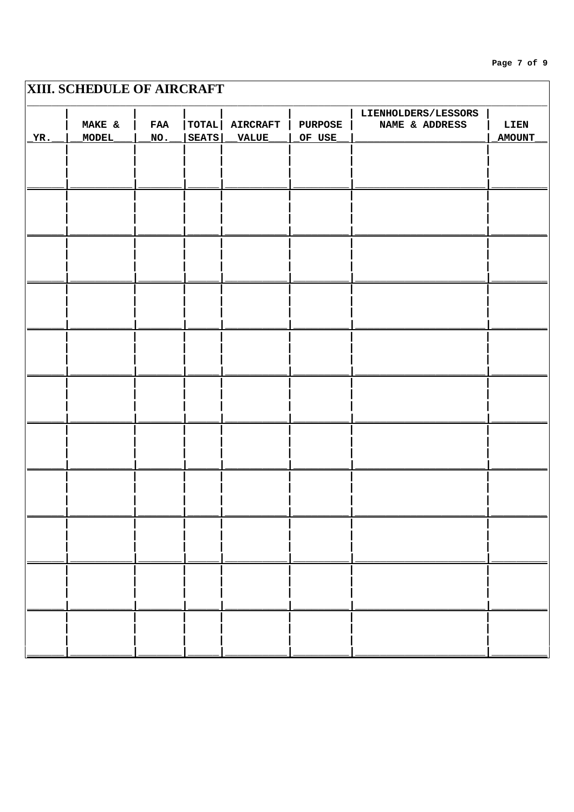#### Page 7 of 9

# **XIII. SCHEDULE OF AIRCRAFT**

|     |        |            |               |                 |                | LIENHOLDERS/LESSORS |        |
|-----|--------|------------|---------------|-----------------|----------------|---------------------|--------|
|     | MAKE & | <b>FAA</b> | $ $ TOTAL $ $ | <b>AIRCRAFT</b> | <b>PURPOSE</b> | NAME & ADDRESS      | LIEN   |
| YR. | MODEL  | NO.        | <b>SEATS</b>  | VALUE           | OF USE         |                     | AMOUNT |
|     |        |            |               |                 |                |                     |        |
|     |        |            |               |                 |                |                     |        |
|     |        |            |               |                 |                |                     |        |
|     |        |            |               |                 |                |                     |        |
|     |        |            |               |                 |                |                     |        |
|     |        |            |               |                 |                |                     |        |
|     |        |            |               |                 |                |                     |        |
|     |        |            |               |                 |                |                     |        |
|     |        |            |               |                 |                |                     |        |
|     |        |            |               |                 |                |                     |        |
|     |        |            |               |                 |                |                     |        |
|     |        |            |               |                 |                |                     |        |
|     |        |            |               |                 |                |                     |        |
|     |        |            |               |                 |                |                     |        |
|     |        |            |               |                 |                |                     |        |
|     |        |            |               |                 |                |                     |        |
|     |        |            |               |                 |                |                     |        |
|     |        |            |               |                 |                |                     |        |
|     |        |            |               |                 |                |                     |        |
|     |        |            |               |                 |                |                     |        |
|     |        |            |               |                 |                |                     |        |
|     |        |            |               |                 |                |                     |        |
|     |        |            |               |                 |                |                     |        |
|     |        |            |               |                 |                |                     |        |
|     |        |            |               |                 |                |                     |        |
|     |        |            |               |                 |                |                     |        |
|     |        |            |               |                 |                |                     |        |
|     |        |            |               |                 |                |                     |        |
|     |        |            |               |                 |                |                     |        |
|     |        |            |               |                 |                |                     |        |
|     |        |            |               |                 |                |                     |        |
|     |        |            |               |                 |                |                     |        |
|     |        |            |               |                 |                |                     |        |
|     |        |            |               |                 |                |                     |        |
|     |        |            |               |                 |                |                     |        |
|     |        |            |               |                 |                |                     |        |
|     |        |            |               |                 |                |                     |        |
|     |        |            |               |                 |                |                     |        |
|     |        |            |               |                 |                |                     |        |
|     |        |            |               |                 |                |                     |        |
|     |        |            |               |                 |                |                     |        |
|     |        |            |               |                 |                |                     |        |
|     |        |            |               |                 |                |                     |        |
|     |        |            |               |                 |                |                     |        |
|     |        |            |               |                 |                |                     |        |
|     |        |            |               |                 |                |                     |        |
|     |        |            |               |                 |                |                     |        |
|     |        |            |               |                 |                |                     |        |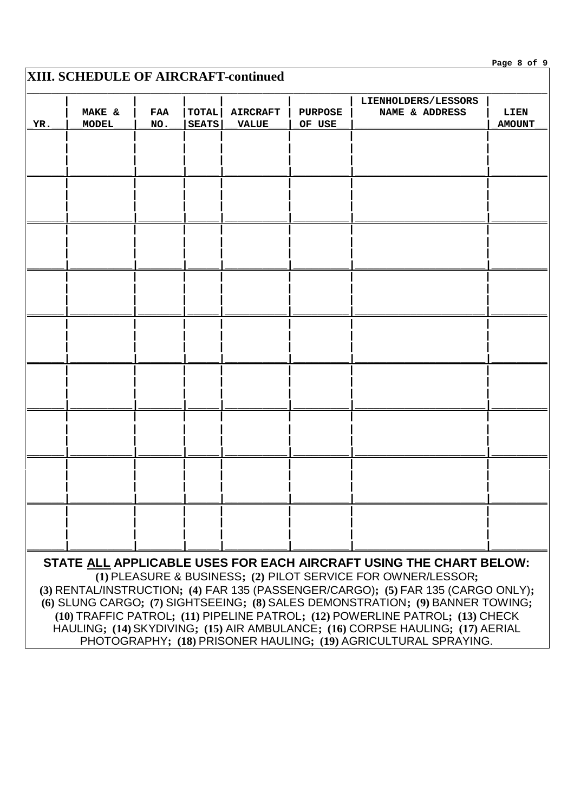## **XIII. SCHEDULE OF AIRCRAFT-continued**

| YR. | <b>MAKE &amp;</b><br><b>MODEL</b> | FAA<br>NO. | <b>TOTAL</b><br><b>SEATS</b> | <b>AIRCRAFT</b><br><b>VALUE</b> | <b>PURPOSE</b><br>OF USE | LIENHOLDERS/LESSORS<br>NAME & ADDRESS                                                                                                                                                                                                                                                                   | LIEN<br><b>AMOUNT</b> |
|-----|-----------------------------------|------------|------------------------------|---------------------------------|--------------------------|---------------------------------------------------------------------------------------------------------------------------------------------------------------------------------------------------------------------------------------------------------------------------------------------------------|-----------------------|
|     |                                   |            |                              |                                 |                          |                                                                                                                                                                                                                                                                                                         |                       |
|     |                                   |            |                              |                                 |                          |                                                                                                                                                                                                                                                                                                         |                       |
|     |                                   |            |                              |                                 |                          |                                                                                                                                                                                                                                                                                                         |                       |
|     |                                   |            |                              |                                 |                          |                                                                                                                                                                                                                                                                                                         |                       |
|     |                                   |            |                              |                                 |                          |                                                                                                                                                                                                                                                                                                         |                       |
|     |                                   |            |                              |                                 |                          |                                                                                                                                                                                                                                                                                                         |                       |
|     |                                   |            |                              |                                 |                          |                                                                                                                                                                                                                                                                                                         |                       |
|     |                                   |            |                              |                                 |                          |                                                                                                                                                                                                                                                                                                         |                       |
|     |                                   |            |                              |                                 |                          |                                                                                                                                                                                                                                                                                                         |                       |
|     |                                   |            |                              |                                 |                          |                                                                                                                                                                                                                                                                                                         |                       |
|     |                                   |            |                              |                                 |                          |                                                                                                                                                                                                                                                                                                         |                       |
|     |                                   |            |                              |                                 |                          |                                                                                                                                                                                                                                                                                                         |                       |
|     |                                   |            |                              |                                 |                          |                                                                                                                                                                                                                                                                                                         |                       |
|     |                                   |            |                              |                                 |                          |                                                                                                                                                                                                                                                                                                         |                       |
|     |                                   |            |                              |                                 |                          |                                                                                                                                                                                                                                                                                                         |                       |
|     |                                   |            |                              |                                 |                          |                                                                                                                                                                                                                                                                                                         |                       |
|     |                                   |            |                              |                                 |                          | STATE ALL APPLICABLE USES FOR EACH AIRCRAFT USING THE CHART BELOW:<br>(1) PLEASURE & BUSINESS; (2) PILOT SERVICE FOR OWNER/LESSOR;<br>(3) RENTAL/INSTRUCTION; (4) FAR 135 (PASSENGER/CARGO); (5) FAR 135 (CARGO ONLY);<br>(6) SLUNG CARGO; (7) SIGHTSEEING; (8) SALES DEMONSTRATION; (9) BANNER TOWING; |                       |
|     |                                   |            |                              |                                 |                          | (10) TRAFFIC PATROL; (11) PIPELINE PATROL; (12) POWERLINE PATROL; (13) CHECK<br>HAULING; (14) SKYDIVING; (15) AIR AMBULANCE; (16) CORPSE HAULING; (17) AERIAL                                                                                                                                           |                       |

PHOTOGRAPHY; (18) PRISONER HAULING; (19) AGRICULTURAL SPRAYING.